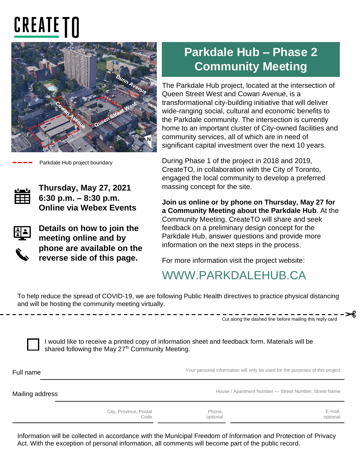# **CREATE TN**



Parkdale Hub project boundary



**Thursday, May 27, 2021 6:30 p.m. – 8:30 p.m. Online via Webex Events**



**Details on how to join the meeting online and by phone are available on the reverse side of this page.**

## **Parkdale Hub – Phase 2 Community Meeting**

The Parkdale Hub project, located at the intersection of Queen Street West and Cowan Avenue, is a transformational city-building initiative that will deliver wide-ranging social, cultural and economic benefits to the Parkdale community. The intersection is currently home to an important cluster of City-owned facilities and community services, all of which are in need of significant capital investment over the next 10 years.

During Phase 1 of the project in 2018 and 2019, CreateTO, in collaboration with the City of Toronto, engaged the local community to develop a preferred massing concept for the site.

**Join us online or by phone on Thursday, May 27 for a Community Meeting about the Parkdale Hub**. At the Community Meeting, CreateTO will share and seek feedback on a preliminary design concept for the Parkdale Hub, answer questions and provide more information on the next steps in the process.

For more information visit the project website:

### WWW.PARKDALEHUB.CA

To help reduce the spread of COVID-19, we are following Public Health directives to practice physical distancing and will be hosting the community meeting virtually.

Cut along the dashed line before mailing this reply card

I would like to receive a printed copy of information sheet and feedback form. Materials will be shared following the May 27<sup>th</sup> Community Meeting.

| Full name       |                                |                    | Your personal information will only be used for the purposes of this project |  |
|-----------------|--------------------------------|--------------------|------------------------------------------------------------------------------|--|
| Mailing address |                                |                    | House / Apartment Number - Street Number, Street Name                        |  |
|                 | City, Province, Postal<br>Code | Phone,<br>optional | E-mail,<br>optional                                                          |  |

Information will be collected in accordance with the Municipal Freedom of Information and Protection of Privacy Act. With the exception of personal information, all comments will become part of the public record.